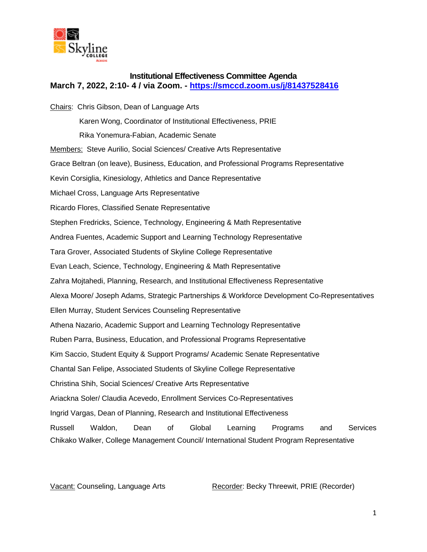

## **Institutional Effectiveness Committee Agenda March 7, 2022, 2:10- 4 / via Zoom. - <https://smccd.zoom.us/j/81437528416>**

Chairs: Chris Gibson, Dean of Language Arts Karen Wong, Coordinator of Institutional Effectiveness, PRIE Rika Yonemura-Fabian, Academic Senate Members: Steve Aurilio, Social Sciences/ Creative Arts Representative Grace Beltran (on leave), Business, Education, and Professional Programs Representative Kevin Corsiglia, Kinesiology, Athletics and Dance Representative Michael Cross, Language Arts Representative Ricardo Flores, Classified Senate Representative Stephen Fredricks, Science, Technology, Engineering & Math Representative Andrea Fuentes, Academic Support and Learning Technology Representative Tara Grover, Associated Students of Skyline College Representative Evan Leach, Science, Technology, Engineering & Math Representative Zahra Mojtahedi, Planning, Research, and Institutional Effectiveness Representative Alexa Moore/ Joseph Adams, Strategic Partnerships & Workforce Development Co-Representatives Ellen Murray, Student Services Counseling Representative Athena Nazario, Academic Support and Learning Technology Representative Ruben Parra, Business, Education, and Professional Programs Representative Kim Saccio, Student Equity & Support Programs/ Academic Senate Representative Chantal San Felipe, Associated Students of Skyline College Representative Christina Shih, Social Sciences/ Creative Arts Representative Ariackna Soler/ Claudia Acevedo, Enrollment Services Co-Representatives Ingrid Vargas, Dean of Planning, Research and Institutional Effectiveness Russell Waldon, Dean of Global Learning Programs and Services Chikako Walker, College Management Council/ International Student Program Representative

Vacant: Counseling, Language Arts Recorder: Becky Threewit, PRIE (Recorder)